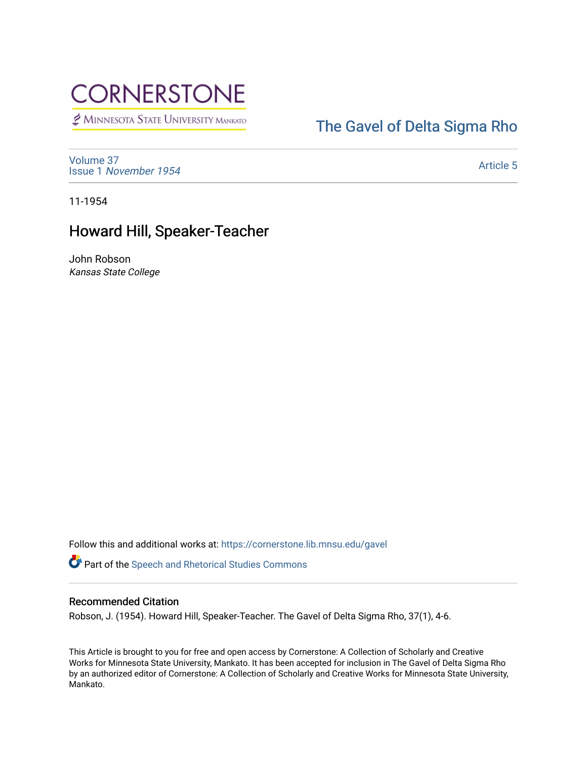# **CORNERSTONE**

MINNESOTA STATE UNIVERSITY MANKATO

### [The Gavel of Delta Sigma Rho](https://cornerstone.lib.mnsu.edu/gavel)

[Volume 37](https://cornerstone.lib.mnsu.edu/gavel/vol37) Issue 1 [November 1954](https://cornerstone.lib.mnsu.edu/gavel/vol37/iss1) 

[Article 5](https://cornerstone.lib.mnsu.edu/gavel/vol37/iss1/5) 

11-1954

### Howard Hill, Speaker-Teacher

John Robson Kansas State College

Follow this and additional works at: [https://cornerstone.lib.mnsu.edu/gavel](https://cornerstone.lib.mnsu.edu/gavel?utm_source=cornerstone.lib.mnsu.edu%2Fgavel%2Fvol37%2Fiss1%2F5&utm_medium=PDF&utm_campaign=PDFCoverPages) 

Part of the [Speech and Rhetorical Studies Commons](http://network.bepress.com/hgg/discipline/338?utm_source=cornerstone.lib.mnsu.edu%2Fgavel%2Fvol37%2Fiss1%2F5&utm_medium=PDF&utm_campaign=PDFCoverPages) 

#### Recommended Citation

Robson, J. (1954). Howard Hill, Speaker-Teacher. The Gavel of Delta Sigma Rho, 37(1), 4-6.

This Article is brought to you for free and open access by Cornerstone: A Collection of Scholarly and Creative Works for Minnesota State University, Mankato. It has been accepted for inclusion in The Gavel of Delta Sigma Rho by an authorized editor of Cornerstone: A Collection of Scholarly and Creative Works for Minnesota State University, Mankato.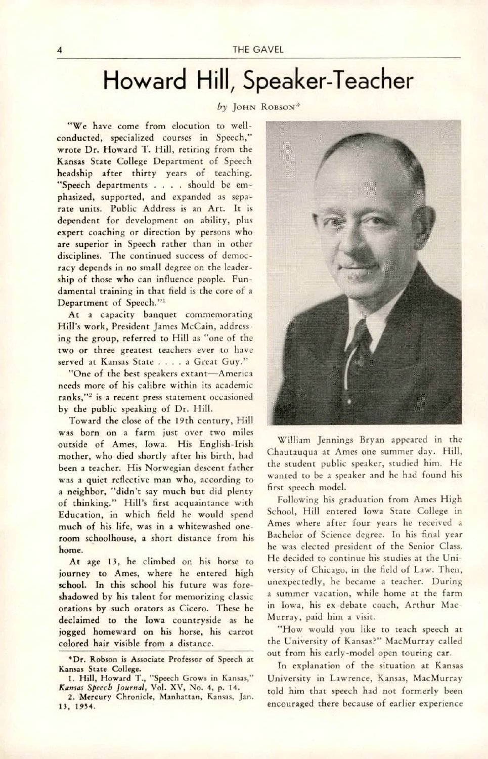## Howard Hill, Speaker-Teacher

#### by JOHN ROBSON<sup>\*</sup>

"We have come from elocution to wellconducted, specialized courses in Speech," wrote Dr. Howard T. Hill, retiring from the Kansas State College Department of Speech headship after thirty years of teaching. "Speech departments . . . should be emphasized, supported, and expanded as sepa rate units. Public Address is an Art. It is dependent for development on ability, plus expert coaching or direction by persons who are superior in Speech rather than in other disciplines. The continued success of democracy depends in no small degree on the leader ship of those who can influence people. Fundamental training in that field is the core of a Department of Speech."'

At a capacity banquet commemorating Hill's work, President James McCain, address ing the group, referred to Hill as "one of the two or three greatest teachers ever to have served at Kansas State . . . . a Great Guy."

"One of the best speakers extant-America needs more of his calibre within its academic ranks,"<sup>2</sup> is a recent press statement occasioned by the public speaking of Dr. Hill.

Toward the close of the I9th century, Hill was born on a farm just over two miles outside of Ames, Iowa. His English-Irish mother, who died shortly after his birth, had been a teacher. His Norwegian descent father was a quiet reflective man who, according to a neighbor, "didn't say much but did plenty of thinking." Hill's first acquaintance with Education, in which field he would spend much of his life, was in a whitewashed oneroom schoolhouse, a short distance from his home.

At age 13, he climbed on his horse to journey to Ames, where he entered high school. In this school his future was foreshadowed by his talent for memorizing classic orations by such orators as Cicero. These he declaimed to the Iowa countryside as he jogged homeward on his horse, his carrot colored hair visible from a distance.



William Jennings Bryan appeared in the Chautauqua at Ames one summer day. Hill, the student public speaker, studied him. He wanted to be a speaker and he had found his first speech model.

Following his graduation from Ames High School, Hill entered Iowa State College in Ames where after four years he received a Bachelor of Science degree. In his final year he was elected president of the Senior Class. He decided to continue his studies at the Uni versity of Chicago, in the field of Law. Then, unexpectedly, he became a teacher. During a summer vacation, while home at the farm in Iowa, his ex-debate coach, Arthur Mac-Murray, paid him a visit.

"How would you like to teach speech at the University of Kansas?" MacMurray called out from his early-model open touring car.

In explanation of the situation at Kansas University in Lawrence, Kansas, MacMurray told him that speech had not formerly been encouraged there because of earlier experience

<sup>\*</sup>Dr. Robson is Associate Professor of Speech at Kansas State College.

<sup>1.</sup> Hill, Howard T., "Speech Grows in Kansas," Kansas Speech Journal, Vol. XV, No. 4, p. 14.

<sup>2.</sup> Mercury Chronicle, Manhattan, Kansas, Jan. 13, 1954.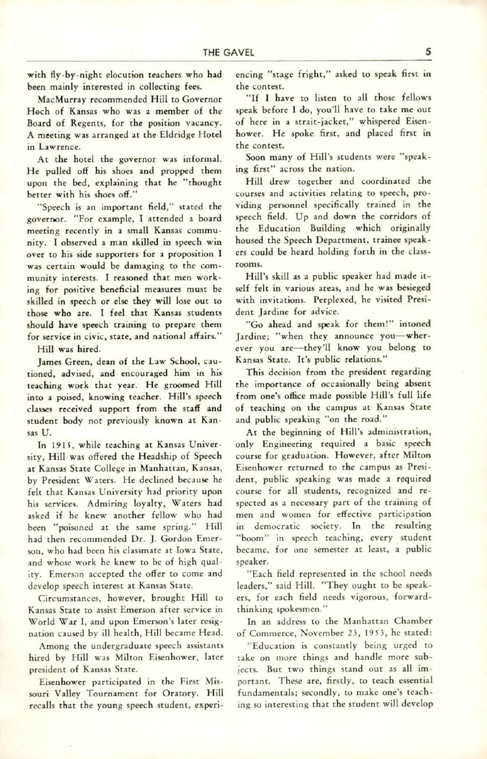with fly-by-night elocution teachers who had been mainly interested in collecting fees.

MacMurray recommended Hill to Governor Hech of Kansas who was a member of the Board of Regents, for the position vacancy. A meeting was arranged at the Eldridge Hotel in Lawrence.

At the hotel the governor was informal. He pulled off his shoes and propped them upon the bed, explaining that he "thought better with his shoes off."

"Speech is an important held," stated the governor. "For example, I attended a board meeting recently in a small Kansas commu nity. I observed a man skilled in speech win over to his side supporters for a proposition I was certain would be damaging to the com munity interests. I reasoned that men work ing for positive beneficial measures must be skilled in speech or else they will lose out to those who are. I feel that Kansas students should have speech training to prepare them for service in civic, state, and national affairs."

Hill was hired.

James Green, dean of the Law School, cau tioned, advised, and encouraged him in his teaching work that year. He groomed Hill into a poised, knowing teacher. Hill's speech classes received support from the staff and student body not previously known at Kan sas U.

In 1915. while teaching at Kansas Univer sity, Hilt was offered the Headship of Speech at Kansas State College in Manhattan, Kansas, by President Waters. He declined because he felt that Kansas University had priority upon his services. Admiring loyalty, Waters had asked if he knew another fellow who had been "poisoned at the same spring." Hill had then recommended Dr. J. Gordon Emer son, who had been his classmate at Iowa State, and whose work he knew to be of high qual ity. Emerson accepted the offer to come and develop speech interest at Kansas State.

Circumstances, however, brought Hill to Kansas State to assist Emerson after service in World War 1, and upon Emerson's later resig nation caused by ill health. Hill became Head.

Among the undergraduate speech assistants hired by Hill was Milton Eisenhower, later president of Kansas State.

Eisenhower participated in the First Mis souri Valley Tournament for Oratory. Hill recalls that the young speech student, experi encing "stage fright," asked to speak first in the contest.

"If I have to listen to all chose fellows speak before I do, you'll have to take me out of here in a strait-jacket," whispered Eisen hower. He spoke first, and placed first in the contest.

Soon many of Hill's students were "speak ing first" across the nation.

Hill drew together and coordinated the courses and activities relating to speech, pro viding personnel specifically trained in the speech field. Up and down the corridors of the Education Building which originally housed the Speech Department, trainee speak ers could be heard holding forth in the class rooms.

Hill's skill as a public speaker had made it self felt in various areas, and he was besieged with invitations. Perplexed, he visited Presi dent Jardine for advice.

"Go ahead and speak for them!" intoned Jardine; "when they announce you-wherever you are—they'll know you belong to Kansas State. It's public relations."

This decision from the president regarding the importance of occasionally being absent from one's office made possible Hill's full life of teaching on the campus at Kansas State and public speaking "on the road."

At the beginning of Hill's administration, only Engineering required a basic speech course for graduation. However, after Milton Eisenhower returned to the campus as Presi dent, public speaking was made a required course for all students, recognized and re spected as a necessary part of the training of men and women for effective participation in democratic society. In the resulting "boom" in speech teaching, every student became, for one semester at least, a public speaker.

"Each field represented in the school needs leaders," said Hill. "They ought to be speak ers, for each field needs vigorous, forwardthinking spokesmen."

In an address to the Manhattan Chamber of Commerce, November 2J, 19S3, he stated:

"Education is constantly being urged to take on more things and handle more sub jects. But two things stand out as all important. These are, firstly, to teach essential fundamentals; secondly, to make one's teaching so interesting that the student will develop